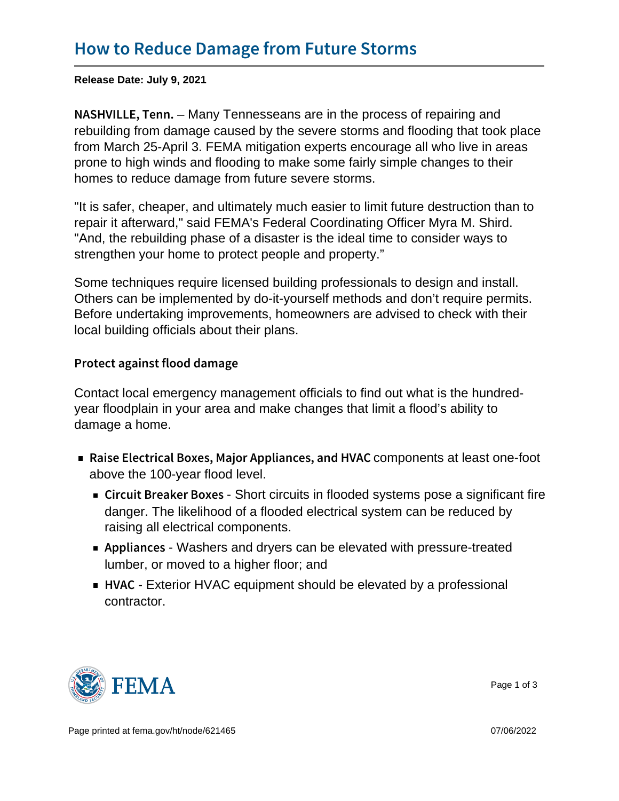Release Date: July 9, 2021

N A S H V I L L  $E_{\tau}$ , Maney The nesseans are in the process of repairing and rebuilding from damage caused by the severe storms and flooding that took place from March 25-April 3. FEMA mitigation experts encourage all who live in areas prone to high winds and flooding to make some fairly simple changes to their homes to reduce damage from future severe storms.

"It is safer, cheaper, and ultimately much easier to limit future destruction than to repair it afterward," said FEMA's Federal Coordinating Officer Myra M. Shird. "And, the rebuilding phase of a disaster is the ideal time to consider ways to strengthen your home to protect people and property."

Some techniques require licensed building professionals to design and install. Others can be implemented by do-it-yourself methods and don't require permits. Before undertaking improvements, homeowners are advised to check with their local building officials about their plans.

Protect against flood damage

Contact local emergency management officials to find out what is the hundredyear floodplain in your area and make changes that limit a flood's ability to damage a home.

- Raise Electrical Boxes, Major **Appropoinentscat beastaoned-foldtV**AC above the 100-year flood level.
	- $\blacksquare$  Circuit Breake $\Theta$ hoBtocixoeits in flooded systems pose a significant fire danger. The likelihood of a flooded electrical system can be reduced by raising all electrical components.
	- Applian Weshers and dryers can be elevated with pressure-treated lumber, or moved to a higher floor; and
	- $\blacksquare$  H V A Exterior HVAC equipment should be elevated by a professional contractor.



Page 1 of 3

Page printed at [fema.gov/ht/node/621465](https://www.fema.gov/ht/node/621465) 07/06/2022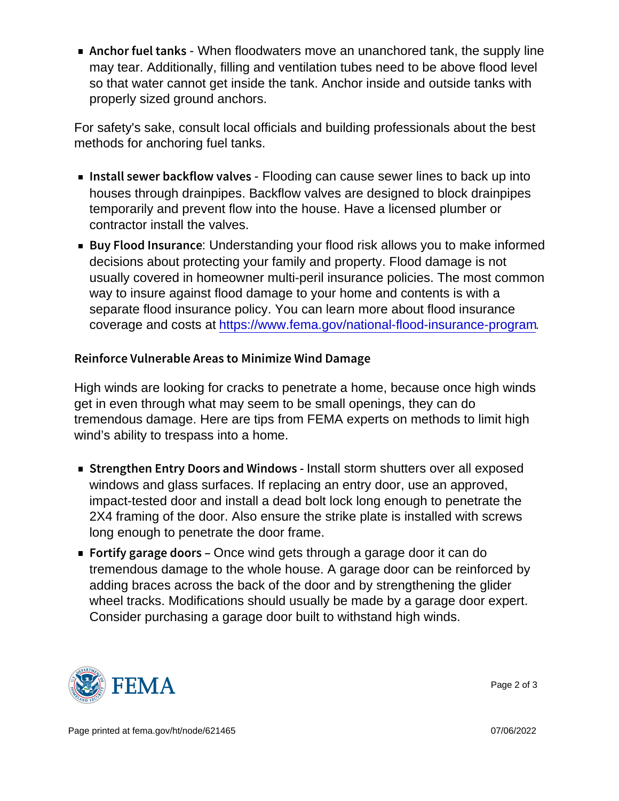Anchor fuel Wheen Knet Southers move an unanchored tank, the supply line may tear. Additionally, filling and ventilation tubes need to be above flood level so that water cannot get inside the tank. Anchor inside and outside tanks with properly sized ground anchors.

For safety's sake, consult local officials and building professionals about the best methods for anchoring fuel tanks.

- Install sewer back=ffloodding adnvoeasse sewerlines to back up into  $\overline{\phantom{a}}$ houses through drainpipes. Backflow valves are designed to block drainpipes temporarily and prevent flow into the house. Have a licensed plumber or contractor install the valves.
- **Buy Flood In sunderstanding your flood risk allows you to make informed** decisions about protecting your family and property. Flood damage is not usually covered in homeowner multi-peril insurance policies. The most common way to insure against flood damage to your home and contents is with a separate flood insurance policy. You can learn more about flood insurance coverage and costs at [https://www.fema.gov/national-flood-insurance-program.](https://www.fema.gov/national-flood-insurance-program/How-Buy-Flood-Insurance)

Reinforce VulnerabMieniAmriezaes Whond Damage

High winds are looking for cracks to penetrate a home, because once high winds get in even through what may seem to be small openings, they can do tremendous damage. Here are tips from FEMA experts on methods to limit high wind's ability to trespass into a home.

- $\blacksquare$  Strengthen Entry Doors Insstraklist Wininsblutteurs over all exposed windows and glass surfaces. If replacing an entry door, use an approved, impact-tested door and install a dead bolt lock long enough to penetrate the 2X4 framing of the door. Also ensure the strike plate is installed with screws long enough to penetrate the door frame.
- Fortify garage  $\Theta$ ndeow $\phi$ inds gets through a garage door it can do tremendous damage to the whole house. A garage door can be reinforced by adding braces across the back of the door and by strengthening the glider wheel tracks. Modifications should usually be made by a garage door expert. Consider purchasing a garage door built to withstand high winds.



Page 2 of 3